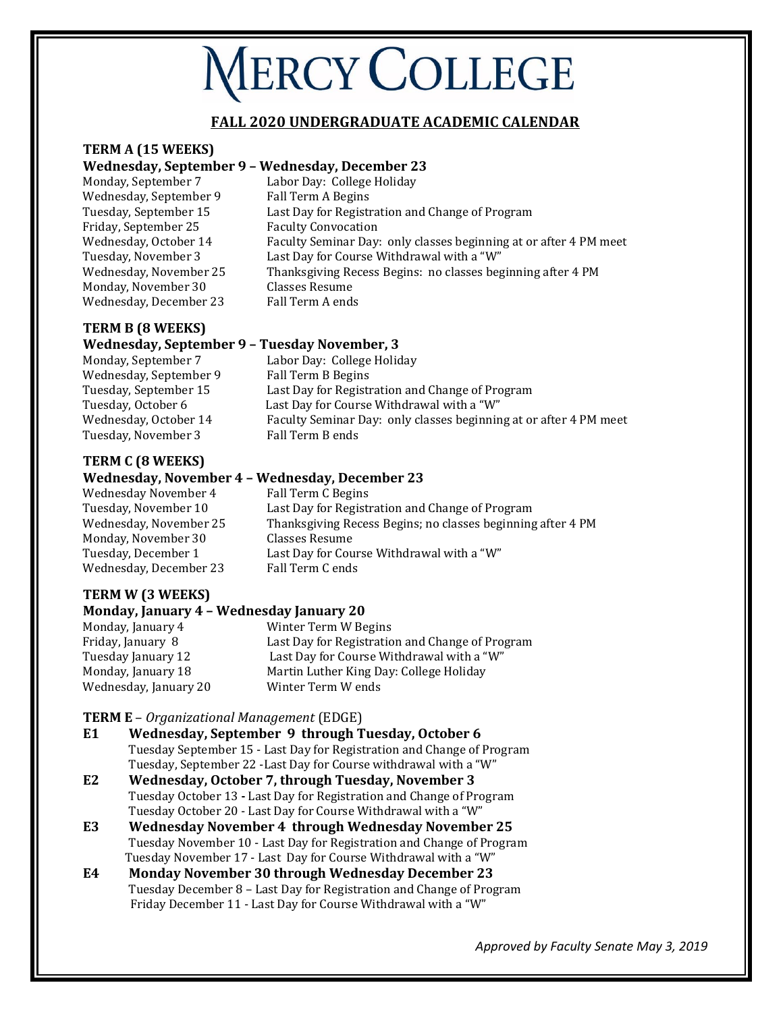# **NERCY COLLEGE**

### **FALL 2020 UNDERGRADUATE ACADEMIC CALENDAR**

## **TERM A (15 WEEKS)**

#### **Wednesday, September 9 – Wednesday, December 23**

Wednesday, September 9 Fall Term A Begins Friday, September 25 Faculty Convocation Monday, November 30 Classes Resume Wednesday, December 23 Fall Term A ends

Monday, September 7 Labor Day: College Holiday Tuesday, September 15 Last Day for Registration and Change of Program Wednesday, October 14 Faculty Seminar Day: only classes beginning at or after 4 PM meet Tuesday, November 3 Last Day for Course Withdrawal with a "W" Wednesday, November 25 Thanksgiving Recess Begins: no classes beginning after 4 PM

## **TERM B (8 WEEKS)**

#### **Wednesday, September 9 – Tuesday November, 3**

Monday, September 7 Labor Day: College Holiday Wednesday, September 9 Fall Term B Begins Tuesday, September 15 Last Day for Registration and Change of Program Tuesday, October 6 Last Day for Course Withdrawal with a "W" Wednesday, October 14 Faculty Seminar Day: only classes beginning at or after 4 PM meet Tuesday, November 3 Fall Term B ends

# **TERM C (8 WEEKS)**

#### **Wednesday, November 4 – Wednesday, December 23**

Wednesday November 4 Fall Term C Begins Monday, November 30 Classes Resume Wednesday, December 23 Fall Term C ends

Tuesday, November 10 Last Day for Registration and Change of Program Wednesday, November 25 Thanksgiving Recess Begins; no classes beginning after 4 PM Tuesday, December 1 Last Day for Course Withdrawal with a "W"

# **TERM W (3 WEEKS)**

#### **Monday, January 4 – Wednesday January 20**

Monday, January 4 Winter Term W Begins<br>
Fridav. January 8 Last Day for Registratio Last Day for Registration and Change of Program Tuesday January 12 Last Day for Course Withdrawal with a "W" Monday, January 18 Martin Luther King Day: College Holiday Wednesday, January 20 Winter Term W ends

#### **TERM E** – *Organizational Management* (EDGE)

- **E1 Wednesday, September 9 through Tuesday, October 6** Tuesday September 15 - Last Day for Registration and Change of Program Tuesday, September 22 -Last Day for Course withdrawal with a "W"
- **E2 Wednesday, October 7, through Tuesday, November 3**  Tuesday October 13 **-** Last Day for Registration and Change of Program Tuesday October 20 - Last Day for Course Withdrawal with a "W"
- **E3 Wednesday November 4 through Wednesday November 25** Tuesday November 10 - Last Day for Registration and Change of Program Tuesday November 17 - Last Day for Course Withdrawal with a "W"
- **E4 Monday November 30 through Wednesday December 23** Tuesday December 8 – Last Day for Registration and Change of Program Friday December 11 - Last Day for Course Withdrawal with a "W"

*Approved by Faculty Senate May 3, 2019*